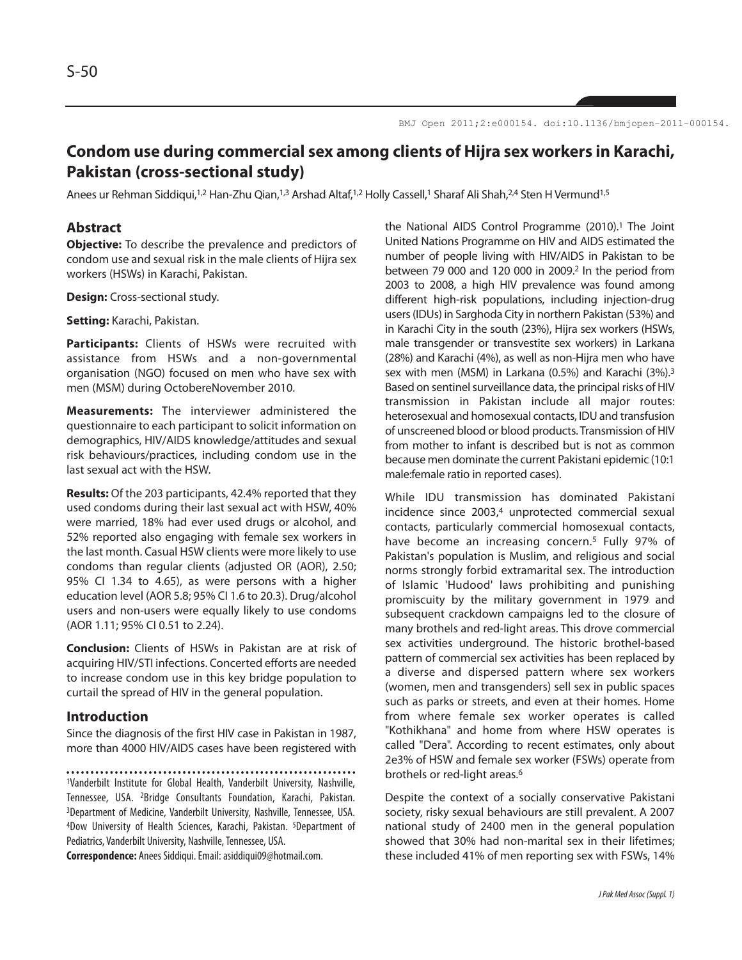BMJ Open 2011;2:e000154. doi:10.1136/bmjopen-2011-000154.

# **Condom use during commercial sex among clients of Hijra sex workers in Karachi, Pakistan (cross-sectional study)**

Anees ur Rehman Siddiqui,<sup>1,2</sup> Han-Zhu Qian,<sup>1,3</sup> Arshad Altaf,<sup>1,2</sup> Holly Cassell,<sup>1</sup> Sharaf Ali Shah,<sup>2,4</sup> Sten H Vermund<sup>1,5</sup>

### **Abstract**

**Objective:** To describe the prevalence and predictors of condom use and sexual risk in the male clients of Hijra sex workers (HSWs) in Karachi, Pakistan.

**Design:** Cross-sectional study.

**Setting:** Karachi, Pakistan.

**Participants:** Clients of HSWs were recruited with assistance from HSWs and a non-governmental organisation (NGO) focused on men who have sex with men (MSM) during OctobereNovember 2010.

**Measurements:** The interviewer administered the questionnaire to each participant to solicit information on demographics, HIV/AIDS knowledge/attitudes and sexual risk behaviours/practices, including condom use in the last sexual act with the HSW.

**Results:** Of the 203 participants, 42.4% reported that they used condoms during their last sexual act with HSW, 40% were married, 18% had ever used drugs or alcohol, and 52% reported also engaging with female sex workers in the last month. Casual HSW clients were more likely to use condoms than regular clients (adjusted OR (AOR), 2.50; 95% CI 1.34 to 4.65), as were persons with a higher education level (AOR 5.8; 95% CI 1.6 to 20.3). Drug/alcohol users and non-users were equally likely to use condoms (AOR 1.11; 95% CI 0.51 to 2.24).

**Conclusion:** Clients of HSWs in Pakistan are at risk of acquiring HIV/STI infections. Concerted efforts are needed to increase condom use in this key bridge population to curtail the spread of HIV in the general population.

#### **Introduction**

Since the diagnosis of the first HIV case in Pakistan in 1987, more than 4000 HIV/AIDS cases have been registered with

<sup>1</sup>Vanderbilt Institute for Global Health, Vanderbilt University, Nashville, Tennessee, USA. 2Bridge Consultants Foundation, Karachi, Pakistan. <sup>3</sup>Department of Medicine, Vanderbilt University, Nashville, Tennessee, USA. <sup>4</sup>Dow University of Health Sciences, Karachi, Pakistan. 5Department of Pediatrics, Vanderbilt University, Nashville, Tennessee, USA.

**Correspondence:** Anees Siddiqui. Email: asiddiqui09@hotmail.com.

the National AIDS Control Programme (2010).<sup>1</sup> The Joint United Nations Programme on HIV and AIDS estimated the number of people living with HIV/AIDS in Pakistan to be between 79 000 and 120 000 in 2009.<sup>2</sup> In the period from 2003 to 2008, a high HIV prevalence was found among different high-risk populations, including injection-drug users (IDUs) in Sarghoda City in northern Pakistan (53%) and in Karachi City in the south (23%), Hijra sex workers (HSWs, male transgender or transvestite sex workers) in Larkana (28%) and Karachi (4%), as well as non-Hijra men who have sex with men (MSM) in Larkana (0.5%) and Karachi (3%).<sup>3</sup> Based on sentinel surveillance data, the principal risks of HIV transmission in Pakistan include all major routes: heterosexual and homosexual contacts, IDU and transfusion of unscreened blood or blood products. Transmission of HIV from mother to infant is described but is not as common because men dominate the current Pakistani epidemic (10:1 male:female ratio in reported cases).

While IDU transmission has dominated Pakistani incidence since 2003,<sup>4</sup> unprotected commercial sexual contacts, particularly commercial homosexual contacts, have become an increasing concern.<sup>5</sup> Fully 97% of Pakistan's population is Muslim, and religious and social norms strongly forbid extramarital sex. The introduction of Islamic 'Hudood' laws prohibiting and punishing promiscuity by the military government in 1979 and subsequent crackdown campaigns led to the closure of many brothels and red-light areas. This drove commercial sex activities underground. The historic brothel-based pattern of commercial sex activities has been replaced by a diverse and dispersed pattern where sex workers (women, men and transgenders) sell sex in public spaces such as parks or streets, and even at their homes. Home from where female sex worker operates is called "Kothikhana" and home from where HSW operates is called "Dera". According to recent estimates, only about 2e3% of HSW and female sex worker (FSWs) operate from brothels or red-light areas.<sup>6</sup>

Despite the context of a socially conservative Pakistani society, risky sexual behaviours are still prevalent. A 2007 national study of 2400 men in the general population showed that 30% had non-marital sex in their lifetimes; these included 41% of men reporting sex with FSWs, 14%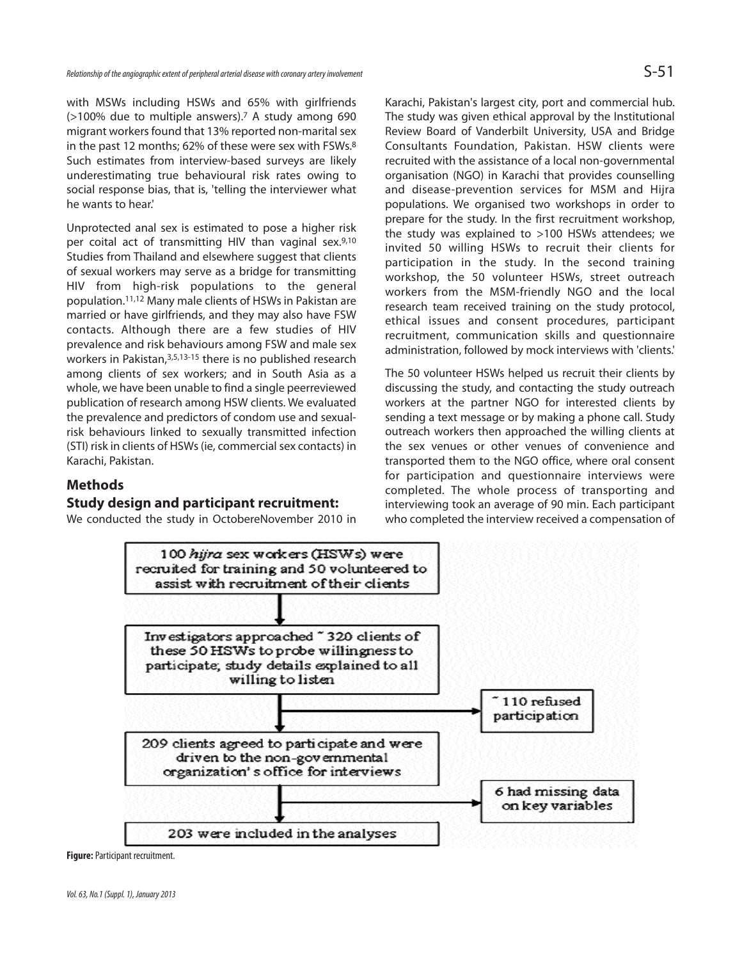with MSWs including HSWs and 65% with girlfriends (>100% due to multiple answers).<sup>7</sup> A study among 690 migrant workers found that 13% reported non-marital sex in the past 12 months; 62% of these were sex with FSWs.<sup>8</sup> Such estimates from interview-based surveys are likely underestimating true behavioural risk rates owing to social response bias, that is, 'telling the interviewer what he wants to hear.'

Unprotected anal sex is estimated to pose a higher risk per coital act of transmitting HIV than vaginal sex.9,10 Studies from Thailand and elsewhere suggest that clients of sexual workers may serve as a bridge for transmitting HIV from high-risk populations to the general population.11,12 Many male clients of HSWs in Pakistan are married or have girlfriends, and they may also have FSW contacts. Although there are a few studies of HIV prevalence and risk behaviours among FSW and male sex workers in Pakistan, 3,5,13-15 there is no published research among clients of sex workers; and in South Asia as a whole, we have been unable to find a single peerreviewed publication of research among HSW clients. We evaluated the prevalence and predictors of condom use and sexualrisk behaviours linked to sexually transmitted infection (STI) risk in clients of HSWs (ie, commercial sex contacts) in Karachi, Pakistan.

## **Methods**

## **Study design and participant recruitment:**

We conducted the study in OctobereNovember 2010 in

Karachi, Pakistan's largest city, port and commercial hub. The study was given ethical approval by the Institutional Review Board of Vanderbilt University, USA and Bridge Consultants Foundation, Pakistan. HSW clients were recruited with the assistance of a local non-governmental organisation (NGO) in Karachi that provides counselling and disease-prevention services for MSM and Hijra populations. We organised two workshops in order to prepare for the study. In the first recruitment workshop, the study was explained to >100 HSWs attendees; we invited 50 willing HSWs to recruit their clients for participation in the study. In the second training workshop, the 50 volunteer HSWs, street outreach workers from the MSM-friendly NGO and the local research team received training on the study protocol, ethical issues and consent procedures, participant recruitment, communication skills and questionnaire administration, followed by mock interviews with 'clients.'

The 50 volunteer HSWs helped us recruit their clients by discussing the study, and contacting the study outreach workers at the partner NGO for interested clients by sending a text message or by making a phone call. Study outreach workers then approached the willing clients at the sex venues or other venues of convenience and transported them to the NGO office, where oral consent for participation and questionnaire interviews were completed. The whole process of transporting and interviewing took an average of 90 min. Each participant who completed the interview received a compensation of



**Figure: Participant recruitment.**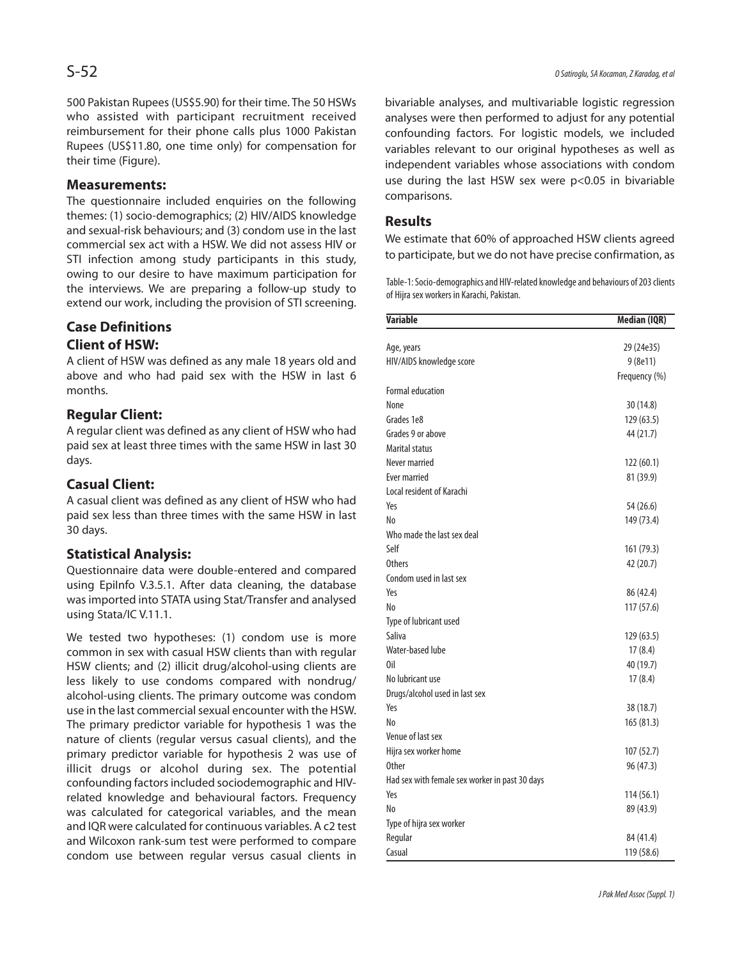500 Pakistan Rupees (US\$5.90) for their time. The 50 HSWs who assisted with participant recruitment received reimbursement for their phone calls plus 1000 Pakistan Rupees (US\$11.80, one time only) for compensation for their time (Figure).

## **Measurements:**

The questionnaire included enquiries on the following themes: (1) socio-demographics; (2) HIV/AIDS knowledge and sexual-risk behaviours; and (3) condom use in the last commercial sex act with a HSW. We did not assess HIV or STI infection among study participants in this study, owing to our desire to have maximum participation for the interviews. We are preparing a follow-up study to extend our work, including the provision of STI screening.

### **Case Definitions Client of HSW:**

A client of HSW was defined as any male 18 years old and above and who had paid sex with the HSW in last 6 months.

## **Regular Client:**

A regular client was defined as any client of HSW who had paid sex at least three times with the same HSW in last 30 days.

## **Casual Client:**

A casual client was defined as any client of HSW who had paid sex less than three times with the same HSW in last 30 days.

## **Statistical Analysis:**

Questionnaire data were double-entered and compared using EpiInfo V.3.5.1. After data cleaning, the database was imported into STATA using Stat/Transfer and analysed using Stata/IC V.11.1.

We tested two hypotheses: (1) condom use is more common in sex with casual HSW clients than with regular HSW clients; and (2) illicit drug/alcohol-using clients are less likely to use condoms compared with nondrug/ alcohol-using clients. The primary outcome was condom use in the last commercial sexual encounter with the HSW. The primary predictor variable for hypothesis 1 was the nature of clients (regular versus casual clients), and the primary predictor variable for hypothesis 2 was use of illicit drugs or alcohol during sex. The potential confounding factors included sociodemographic and HIVrelated knowledge and behavioural factors. Frequency was calculated for categorical variables, and the mean and IQR were calculated for continuous variables. A c2 test and Wilcoxon rank-sum test were performed to compare condom use between regular versus casual clients in bivariable analyses, and multivariable logistic regression analyses were then performed to adjust for any potential confounding factors. For logistic models, we included variables relevant to our original hypotheses as well as independent variables whose associations with condom use during the last HSW sex were p<0.05 in bivariable comparisons.

## **Results**

We estimate that 60% of approached HSW clients agreed to participate, but we do not have precise confirmation, as

Table-1: Socio-demographics and HIV-related knowledge and behaviours of 203 clients of Hijra sex workers in Karachi, Pakistan.

| <b>Variable</b>                                | <b>Median (IQR)</b> |
|------------------------------------------------|---------------------|
|                                                |                     |
| Age, years                                     | 29 (24e35)          |
| HIV/AIDS knowledge score                       | 9(8e11)             |
|                                                | Frequency (%)       |
| <b>Formal education</b>                        |                     |
| None                                           | 30(14.8)            |
| Grades 1e8                                     | 129 (63.5)          |
| Grades 9 or above                              | 44 (21.7)           |
| <b>Marital status</b>                          |                     |
| Never married                                  | 122(60.1)           |
| Ever married                                   | 81 (39.9)           |
| Local resident of Karachi                      |                     |
| Yes                                            | 54 (26.6)           |
| No                                             | 149 (73.4)          |
| Who made the last sex deal                     |                     |
| Self                                           | 161 (79.3)          |
| Others                                         | 42 (20.7)           |
| Condom used in last sex                        |                     |
| Yes                                            | 86 (42.4)           |
| No                                             | 117 (57.6)          |
| Type of lubricant used                         |                     |
| Saliva                                         | 129 (63.5)          |
| Water-based lube                               | 17(8.4)             |
| 0il                                            | 40 (19.7)           |
| No lubricant use                               | 17(8.4)             |
| Drugs/alcohol used in last sex                 |                     |
| Yes                                            | 38 (18.7)           |
| No                                             | 165 (81.3)          |
| Venue of last sex                              |                     |
| Hijra sex worker home                          | 107 (52.7)          |
| <b>Other</b>                                   | 96 (47.3)           |
| Had sex with female sex worker in past 30 days |                     |
| Yes                                            | 114 (56.1)          |
| No                                             | 89 (43.9)           |
| Type of hijra sex worker                       |                     |
| Regular                                        | 84 (41.4)           |
| Casual                                         | 119 (58.6)          |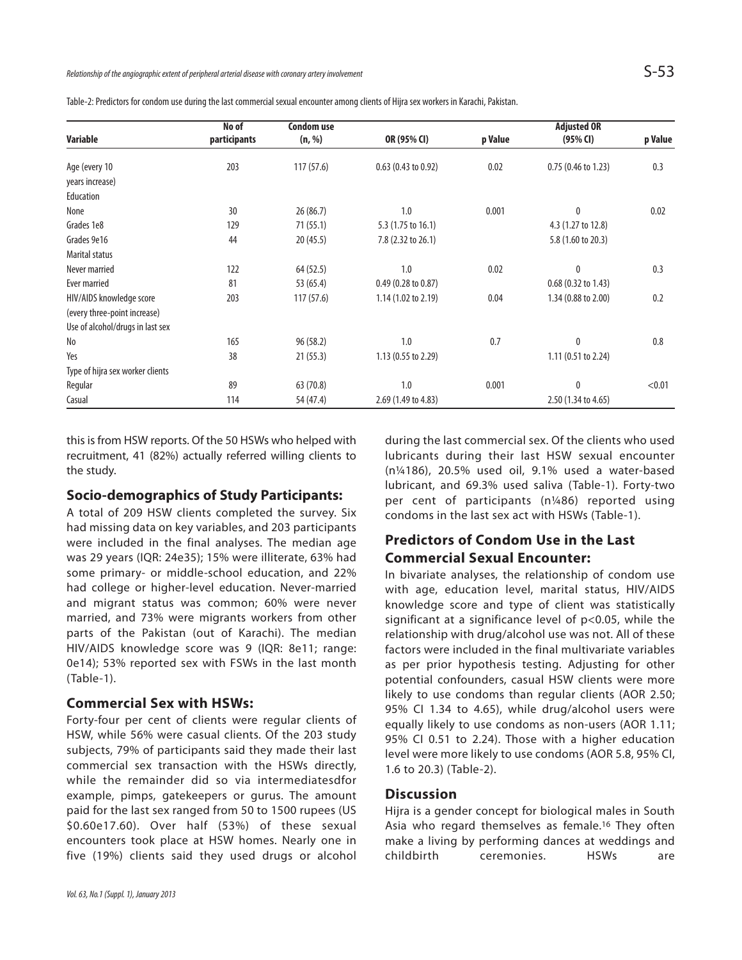| Variable                         | No of<br>participants | <b>Condom use</b><br>(n, %) |                       | <b>Adjusted OR</b> |                       |         |
|----------------------------------|-----------------------|-----------------------------|-----------------------|--------------------|-----------------------|---------|
|                                  |                       |                             | OR (95% CI)           | p Value            | $(95%$ CI)            | p Value |
| Age (every 10                    | 203                   | 117(57.6)                   | 0.63 (0.43 to 0.92)   | 0.02               | 0.75 (0.46 to 1.23)   | 0.3     |
| years increase)                  |                       |                             |                       |                    |                       |         |
| Education                        |                       |                             |                       |                    |                       |         |
| None                             | 30                    | 26(86.7)                    | 1.0                   | 0.001              | $\mathbf{0}$          | 0.02    |
| Grades 1e8                       | 129                   | 71(55.1)                    | 5.3 (1.75 to 16.1)    |                    | 4.3 (1.27 to 12.8)    |         |
| Grades 9e16                      | 44                    | 20(45.5)                    | 7.8 (2.32 to 26.1)    |                    | 5.8 (1.60 to 20.3)    |         |
| Marital status                   |                       |                             |                       |                    |                       |         |
| Never married                    | 122                   | 64 (52.5)                   | 1.0                   | 0.02               | 0                     | 0.3     |
| Ever married                     | 81                    | 53 (65.4)                   | $0.49$ (0.28 to 0.87) |                    | $0.68$ (0.32 to 1.43) |         |
| HIV/AIDS knowledge score         | 203                   | 117 (57.6)                  | 1.14 (1.02 to 2.19)   | 0.04               | 1.34 (0.88 to 2.00)   | 0.2     |
| (every three-point increase)     |                       |                             |                       |                    |                       |         |
| Use of alcohol/drugs in last sex |                       |                             |                       |                    |                       |         |
| No                               | 165                   | 96(58.2)                    | 1.0                   | 0.7                | 0                     | 0.8     |
| Yes                              | 38                    | 21(55.3)                    | 1.13 (0.55 to 2.29)   |                    | 1.11 (0.51 to 2.24)   |         |
| Type of hijra sex worker clients |                       |                             |                       |                    |                       |         |
| Regular                          | 89                    | 63 (70.8)                   | 1.0                   | 0.001              | $\mathbf{0}$          | < 0.01  |
| Casual                           | 114                   | 54 (47.4)                   | 2.69 (1.49 to 4.83)   |                    | 2.50 (1.34 to 4.65)   |         |

Table-2: Predictors for condom use during the last commercial sexual encounter among clients of Hijra sex workers in Karachi, Pakistan.

this is from HSW reports. Of the 50 HSWs who helped with recruitment, 41 (82%) actually referred willing clients to the study.

### **Socio-demographics of Study Participants:**

A total of 209 HSW clients completed the survey. Six had missing data on key variables, and 203 participants were included in the final analyses. The median age was 29 years (IQR: 24e35); 15% were illiterate, 63% had some primary- or middle-school education, and 22% had college or higher-level education. Never-married and migrant status was common; 60% were never married, and 73% were migrants workers from other parts of the Pakistan (out of Karachi). The median HIV/AIDS knowledge score was 9 (IQR: 8e11; range: 0e14); 53% reported sex with FSWs in the last month (Table-1).

### **Commercial Sex with HSWs:**

Forty-four per cent of clients were regular clients of HSW, while 56% were casual clients. Of the 203 study subjects, 79% of participants said they made their last commercial sex transaction with the HSWs directly, while the remainder did so via intermediatesdfor example, pimps, gatekeepers or gurus. The amount paid for the last sex ranged from 50 to 1500 rupees (US \$0.60e17.60). Over half (53%) of these sexual encounters took place at HSW homes. Nearly one in five (19%) clients said they used drugs or alcohol

during the last commercial sex. Of the clients who used lubricants during their last HSW sexual encounter (n¼186), 20.5% used oil, 9.1% used a water-based lubricant, and 69.3% used saliva (Table-1). Forty-two per cent of participants (n¼86) reported using condoms in the last sex act with HSWs (Table-1).

# **Predictors of Condom Use in the Last Commercial Sexual Encounter:**

In bivariate analyses, the relationship of condom use with age, education level, marital status, HIV/AIDS knowledge score and type of client was statistically significant at a significance level of p<0.05, while the relationship with drug/alcohol use was not. All of these factors were included in the final multivariate variables as per prior hypothesis testing. Adjusting for other potential confounders, casual HSW clients were more likely to use condoms than regular clients (AOR 2.50; 95% CI 1.34 to 4.65), while drug/alcohol users were equally likely to use condoms as non-users (AOR 1.11; 95% CI 0.51 to 2.24). Those with a higher education level were more likely to use condoms (AOR 5.8, 95% CI, 1.6 to 20.3) (Table-2).

### **Discussion**

Hijra is a gender concept for biological males in South Asia who regard themselves as female.<sup>16</sup> They often make a living by performing dances at weddings and childbirth ceremonies. HSWs are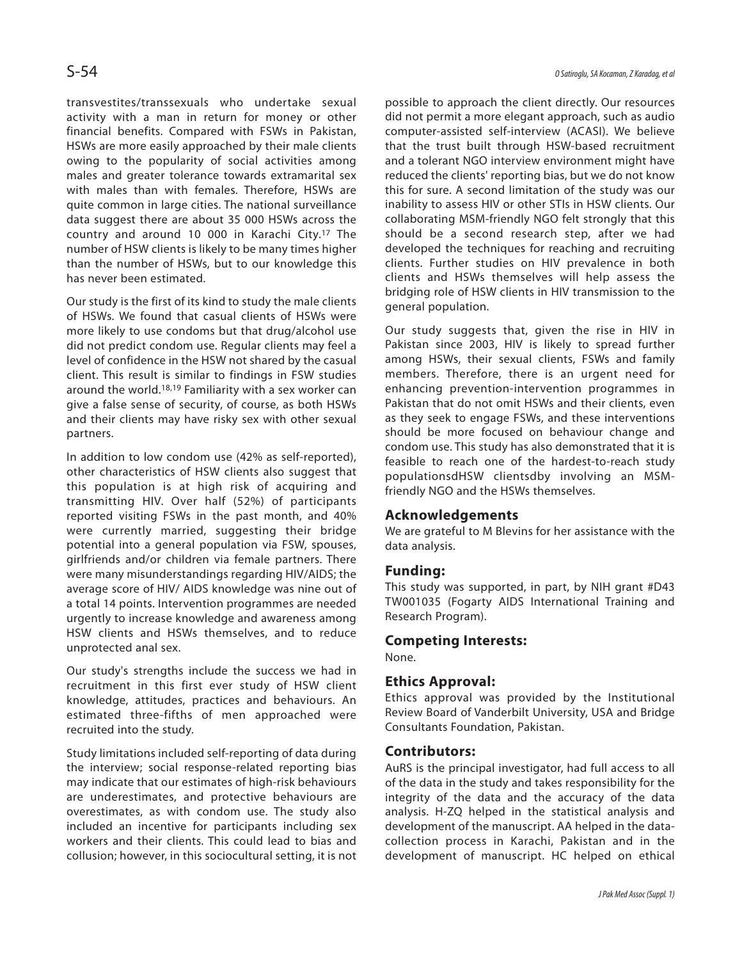transvestites/transsexuals who undertake sexual activity with a man in return for money or other financial benefits. Compared with FSWs in Pakistan, HSWs are more easily approached by their male clients owing to the popularity of social activities among males and greater tolerance towards extramarital sex with males than with females. Therefore, HSWs are quite common in large cities. The national surveillance data suggest there are about 35 000 HSWs across the country and around 10 000 in Karachi City.<sup>17</sup> The number of HSW clients is likely to be many times higher than the number of HSWs, but to our knowledge this has never been estimated.

Our study is the first of its kind to study the male clients of HSWs. We found that casual clients of HSWs were more likely to use condoms but that drug/alcohol use did not predict condom use. Regular clients may feel a level of confidence in the HSW not shared by the casual client. This result is similar to findings in FSW studies around the world.18,19 Familiarity with a sex worker can give a false sense of security, of course, as both HSWs and their clients may have risky sex with other sexual partners.

In addition to low condom use (42% as self-reported), other characteristics of HSW clients also suggest that this population is at high risk of acquiring and transmitting HIV. Over half (52%) of participants reported visiting FSWs in the past month, and 40% were currently married, suggesting their bridge potential into a general population via FSW, spouses, girlfriends and/or children via female partners. There were many misunderstandings regarding HIV/AIDS; the average score of HIV/ AIDS knowledge was nine out of a total 14 points. Intervention programmes are needed urgently to increase knowledge and awareness among HSW clients and HSWs themselves, and to reduce unprotected anal sex.

Our study's strengths include the success we had in recruitment in this first ever study of HSW client knowledge, attitudes, practices and behaviours. An estimated three-fifths of men approached were recruited into the study.

Study limitations included self-reporting of data during the interview; social response-related reporting bias may indicate that our estimates of high-risk behaviours are underestimates, and protective behaviours are overestimates, as with condom use. The study also included an incentive for participants including sex workers and their clients. This could lead to bias and collusion; however, in this sociocultural setting, it is not possible to approach the client directly. Our resources did not permit a more elegant approach, such as audio computer-assisted self-interview (ACASI). We believe that the trust built through HSW-based recruitment and a tolerant NGO interview environment might have reduced the clients' reporting bias, but we do not know this for sure. A second limitation of the study was our inability to assess HIV or other STIs in HSW clients. Our collaborating MSM-friendly NGO felt strongly that this should be a second research step, after we had developed the techniques for reaching and recruiting clients. Further studies on HIV prevalence in both clients and HSWs themselves will help assess the bridging role of HSW clients in HIV transmission to the general population.

Our study suggests that, given the rise in HIV in Pakistan since 2003, HIV is likely to spread further among HSWs, their sexual clients, FSWs and family members. Therefore, there is an urgent need for enhancing prevention-intervention programmes in Pakistan that do not omit HSWs and their clients, even as they seek to engage FSWs, and these interventions should be more focused on behaviour change and condom use. This study has also demonstrated that it is feasible to reach one of the hardest-to-reach study populationsdHSW clientsdby involving an MSMfriendly NGO and the HSWs themselves.

#### **Acknowledgements**

We are grateful to M Blevins for her assistance with the data analysis.

#### **Funding:**

This study was supported, in part, by NIH grant #D43 TW001035 (Fogarty AIDS International Training and Research Program).

#### **Competing Interests:**

None.

#### **Ethics Approval:**

Ethics approval was provided by the Institutional Review Board of Vanderbilt University, USA and Bridge Consultants Foundation, Pakistan.

#### **Contributors:**

AuRS is the principal investigator, had full access to all of the data in the study and takes responsibility for the integrity of the data and the accuracy of the data analysis. H-ZQ helped in the statistical analysis and development of the manuscript. AA helped in the datacollection process in Karachi, Pakistan and in the development of manuscript. HC helped on ethical